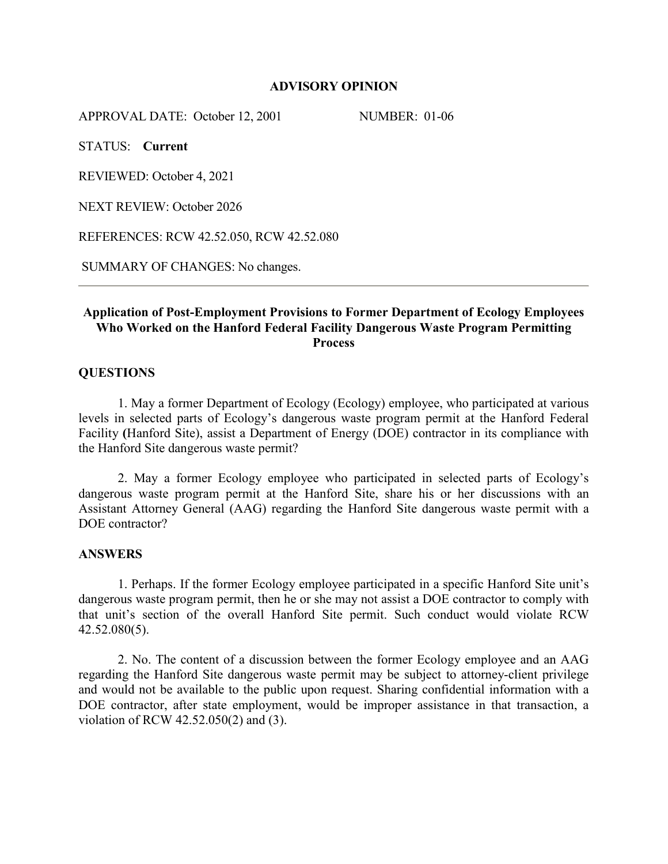#### **ADVISORY OPINION**

APPROVAL DATE: October 12, 2001 NUMBER: 01-06

STATUS: **Current**

REVIEWED: October 4, 2021

NEXT REVIEW: October 2026

REFERENCES: RCW 42.52.050, RCW 42.52.080

SUMMARY OF CHANGES: No changes.

## **Application of Post-Employment Provisions to Former Department of Ecology Employees Who Worked on the Hanford Federal Facility Dangerous Waste Program Permitting Process**

### **QUESTIONS**

1. May a former Department of Ecology (Ecology) employee, who participated at various levels in selected parts of Ecology's dangerous waste program permit at the Hanford Federal Facility **(**Hanford Site), assist a Department of Energy (DOE) contractor in its compliance with the Hanford Site dangerous waste permit?

2. May a former Ecology employee who participated in selected parts of Ecology's dangerous waste program permit at the Hanford Site, share his or her discussions with an Assistant Attorney General (AAG) regarding the Hanford Site dangerous waste permit with a DOE contractor?

#### **ANSWERS**

1. Perhaps. If the former Ecology employee participated in a specific Hanford Site unit's dangerous waste program permit, then he or she may not assist a DOE contractor to comply with that unit's section of the overall Hanford Site permit. Such conduct would violate RCW 42.52.080(5).

2. No. The content of a discussion between the former Ecology employee and an AAG regarding the Hanford Site dangerous waste permit may be subject to attorney-client privilege and would not be available to the public upon request. Sharing confidential information with a DOE contractor, after state employment, would be improper assistance in that transaction, a violation of RCW 42.52.050(2) and (3).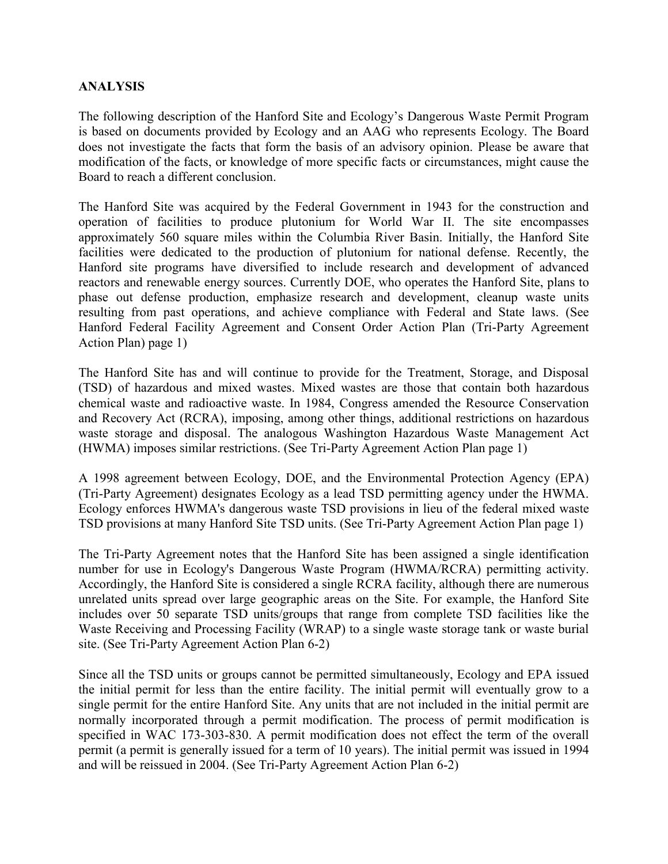### **ANALYSIS**

The following description of the Hanford Site and Ecology's Dangerous Waste Permit Program is based on documents provided by Ecology and an AAG who represents Ecology. The Board does not investigate the facts that form the basis of an advisory opinion. Please be aware that modification of the facts, or knowledge of more specific facts or circumstances, might cause the Board to reach a different conclusion.

The Hanford Site was acquired by the Federal Government in 1943 for the construction and operation of facilities to produce plutonium for World War II. The site encompasses approximately 560 square miles within the Columbia River Basin. Initially, the Hanford Site facilities were dedicated to the production of plutonium for national defense. Recently, the Hanford site programs have diversified to include research and development of advanced reactors and renewable energy sources. Currently DOE, who operates the Hanford Site, plans to phase out defense production, emphasize research and development, cleanup waste units resulting from past operations, and achieve compliance with Federal and State laws. (See Hanford Federal Facility Agreement and Consent Order Action Plan (Tri-Party Agreement Action Plan) page 1)

The Hanford Site has and will continue to provide for the Treatment, Storage, and Disposal (TSD) of hazardous and mixed wastes. Mixed wastes are those that contain both hazardous chemical waste and radioactive waste. In 1984, Congress amended the Resource Conservation and Recovery Act (RCRA), imposing, among other things, additional restrictions on hazardous waste storage and disposal. The analogous Washington Hazardous Waste Management Act (HWMA) imposes similar restrictions. (See Tri-Party Agreement Action Plan page 1)

A 1998 agreement between Ecology, DOE, and the Environmental Protection Agency (EPA) (Tri-Party Agreement) designates Ecology as a lead TSD permitting agency under the HWMA. Ecology enforces HWMA's dangerous waste TSD provisions in lieu of the federal mixed waste TSD provisions at many Hanford Site TSD units. (See Tri-Party Agreement Action Plan page 1)

The Tri-Party Agreement notes that the Hanford Site has been assigned a single identification number for use in Ecology's Dangerous Waste Program (HWMA/RCRA) permitting activity. Accordingly, the Hanford Site is considered a single RCRA facility, although there are numerous unrelated units spread over large geographic areas on the Site. For example, the Hanford Site includes over 50 separate TSD units/groups that range from complete TSD facilities like the Waste Receiving and Processing Facility (WRAP) to a single waste storage tank or waste burial site. (See Tri-Party Agreement Action Plan 6-2)

Since all the TSD units or groups cannot be permitted simultaneously, Ecology and EPA issued the initial permit for less than the entire facility. The initial permit will eventually grow to a single permit for the entire Hanford Site. Any units that are not included in the initial permit are normally incorporated through a permit modification. The process of permit modification is specified in WAC 173-303-830. A permit modification does not effect the term of the overall permit (a permit is generally issued for a term of 10 years). The initial permit was issued in 1994 and will be reissued in 2004. (See Tri-Party Agreement Action Plan 6-2)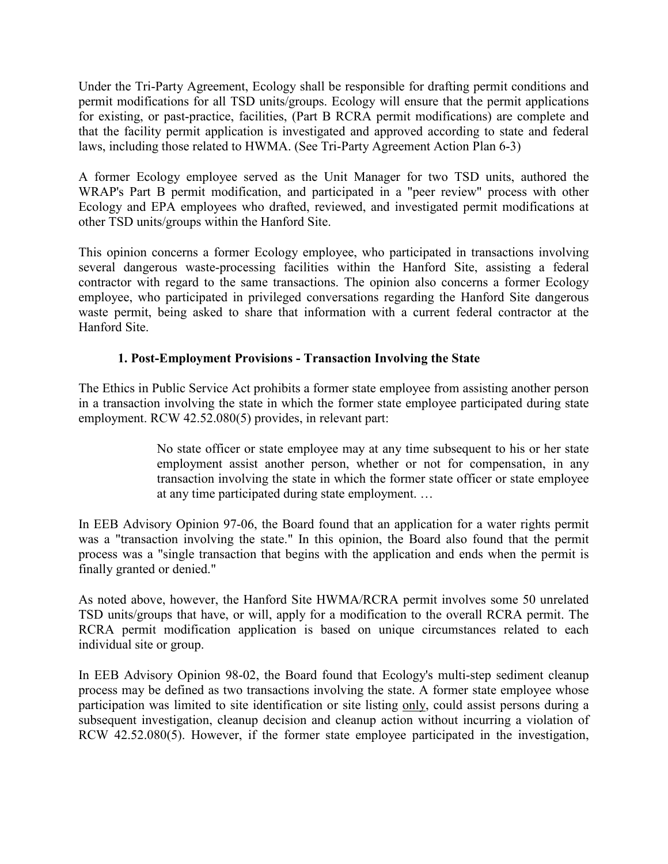Under the Tri-Party Agreement, Ecology shall be responsible for drafting permit conditions and permit modifications for all TSD units/groups. Ecology will ensure that the permit applications for existing, or past-practice, facilities, (Part B RCRA permit modifications) are complete and that the facility permit application is investigated and approved according to state and federal laws, including those related to HWMA. (See Tri-Party Agreement Action Plan 6-3)

A former Ecology employee served as the Unit Manager for two TSD units, authored the WRAP's Part B permit modification, and participated in a "peer review" process with other Ecology and EPA employees who drafted, reviewed, and investigated permit modifications at other TSD units/groups within the Hanford Site.

This opinion concerns a former Ecology employee, who participated in transactions involving several dangerous waste-processing facilities within the Hanford Site, assisting a federal contractor with regard to the same transactions. The opinion also concerns a former Ecology employee, who participated in privileged conversations regarding the Hanford Site dangerous waste permit, being asked to share that information with a current federal contractor at the Hanford Site.

# **1. Post-Employment Provisions - Transaction Involving the State**

The Ethics in Public Service Act prohibits a former state employee from assisting another person in a transaction involving the state in which the former state employee participated during state employment. RCW 42.52.080(5) provides, in relevant part:

> No state officer or state employee may at any time subsequent to his or her state employment assist another person, whether or not for compensation, in any transaction involving the state in which the former state officer or state employee at any time participated during state employment. …

In EEB Advisory Opinion 97-06, the Board found that an application for a water rights permit was a "transaction involving the state." In this opinion, the Board also found that the permit process was a "single transaction that begins with the application and ends when the permit is finally granted or denied."

As noted above, however, the Hanford Site HWMA/RCRA permit involves some 50 unrelated TSD units/groups that have, or will, apply for a modification to the overall RCRA permit. The RCRA permit modification application is based on unique circumstances related to each individual site or group.

In EEB Advisory Opinion 98-02, the Board found that Ecology's multi-step sediment cleanup process may be defined as two transactions involving the state. A former state employee whose participation was limited to site identification or site listing only, could assist persons during a subsequent investigation, cleanup decision and cleanup action without incurring a violation of RCW 42.52.080(5). However, if the former state employee participated in the investigation,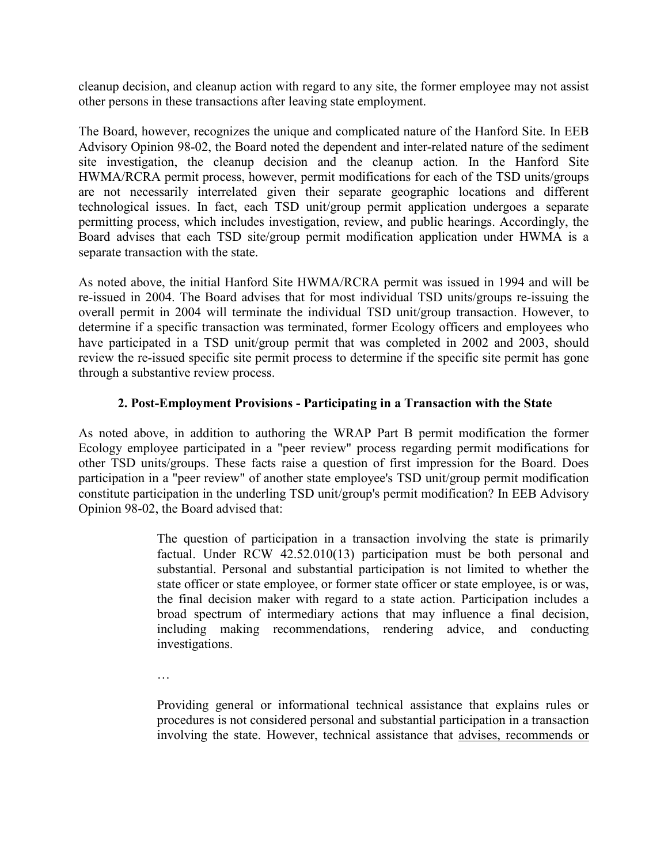cleanup decision, and cleanup action with regard to any site, the former employee may not assist other persons in these transactions after leaving state employment.

The Board, however, recognizes the unique and complicated nature of the Hanford Site. In EEB Advisory Opinion 98-02, the Board noted the dependent and inter-related nature of the sediment site investigation, the cleanup decision and the cleanup action. In the Hanford Site HWMA/RCRA permit process, however, permit modifications for each of the TSD units/groups are not necessarily interrelated given their separate geographic locations and different technological issues. In fact, each TSD unit/group permit application undergoes a separate permitting process, which includes investigation, review, and public hearings. Accordingly, the Board advises that each TSD site/group permit modification application under HWMA is a separate transaction with the state.

As noted above, the initial Hanford Site HWMA/RCRA permit was issued in 1994 and will be re-issued in 2004. The Board advises that for most individual TSD units/groups re-issuing the overall permit in 2004 will terminate the individual TSD unit/group transaction. However, to determine if a specific transaction was terminated, former Ecology officers and employees who have participated in a TSD unit/group permit that was completed in 2002 and 2003, should review the re-issued specific site permit process to determine if the specific site permit has gone through a substantive review process.

# **2. Post-Employment Provisions - Participating in a Transaction with the State**

As noted above, in addition to authoring the WRAP Part B permit modification the former Ecology employee participated in a "peer review" process regarding permit modifications for other TSD units/groups. These facts raise a question of first impression for the Board. Does participation in a "peer review" of another state employee's TSD unit/group permit modification constitute participation in the underling TSD unit/group's permit modification? In EEB Advisory Opinion 98-02, the Board advised that:

> The question of participation in a transaction involving the state is primarily factual. Under RCW 42.52.010(13) participation must be both personal and substantial. Personal and substantial participation is not limited to whether the state officer or state employee, or former state officer or state employee, is or was, the final decision maker with regard to a state action. Participation includes a broad spectrum of intermediary actions that may influence a final decision, including making recommendations, rendering advice, and conducting investigations.

…

Providing general or informational technical assistance that explains rules or procedures is not considered personal and substantial participation in a transaction involving the state. However, technical assistance that advises, recommends or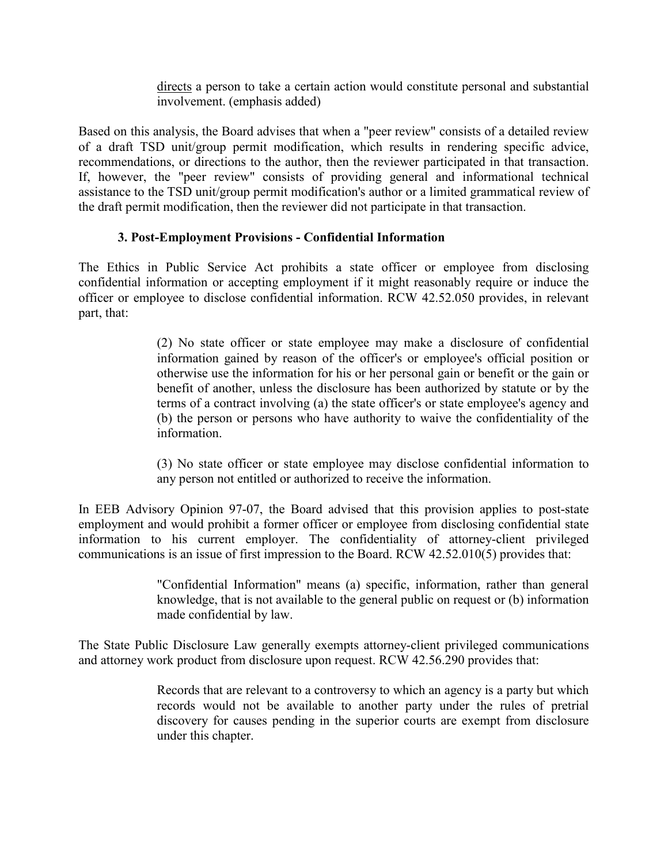directs a person to take a certain action would constitute personal and substantial involvement. (emphasis added)

Based on this analysis, the Board advises that when a "peer review" consists of a detailed review of a draft TSD unit/group permit modification, which results in rendering specific advice, recommendations, or directions to the author, then the reviewer participated in that transaction. If, however, the "peer review" consists of providing general and informational technical assistance to the TSD unit/group permit modification's author or a limited grammatical review of the draft permit modification, then the reviewer did not participate in that transaction.

# **3. Post-Employment Provisions - Confidential Information**

The Ethics in Public Service Act prohibits a state officer or employee from disclosing confidential information or accepting employment if it might reasonably require or induce the officer or employee to disclose confidential information. RCW 42.52.050 provides, in relevant part, that:

> (2) No state officer or state employee may make a disclosure of confidential information gained by reason of the officer's or employee's official position or otherwise use the information for his or her personal gain or benefit or the gain or benefit of another, unless the disclosure has been authorized by statute or by the terms of a contract involving (a) the state officer's or state employee's agency and (b) the person or persons who have authority to waive the confidentiality of the information.

> (3) No state officer or state employee may disclose confidential information to any person not entitled or authorized to receive the information.

In EEB Advisory Opinion 97-07, the Board advised that this provision applies to post-state employment and would prohibit a former officer or employee from disclosing confidential state information to his current employer. The confidentiality of attorney-client privileged communications is an issue of first impression to the Board. RCW 42.52.010(5) provides that:

> "Confidential Information" means (a) specific, information, rather than general knowledge, that is not available to the general public on request or (b) information made confidential by law.

The State Public Disclosure Law generally exempts attorney-client privileged communications and attorney work product from disclosure upon request. RCW 42.56.290 provides that:

> Records that are relevant to a controversy to which an agency is a party but which records would not be available to another party under the rules of pretrial discovery for causes pending in the superior courts are exempt from disclosure under this chapter.